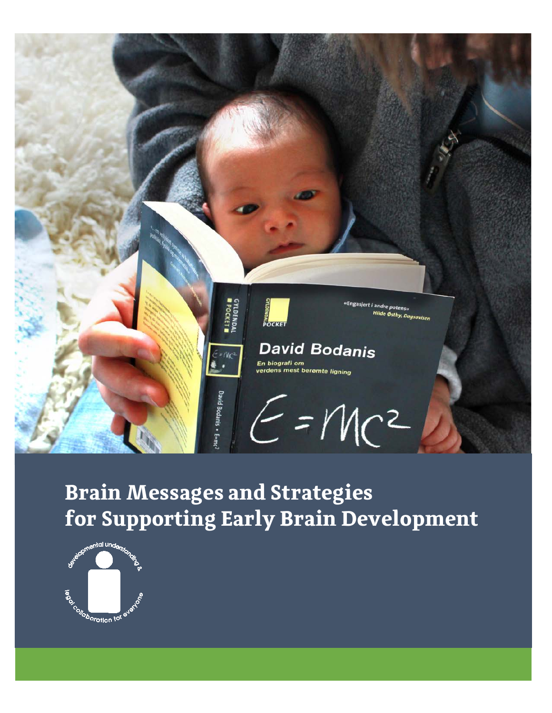

# **Brain Messages and Strategies for Supporting Early Brain Development**

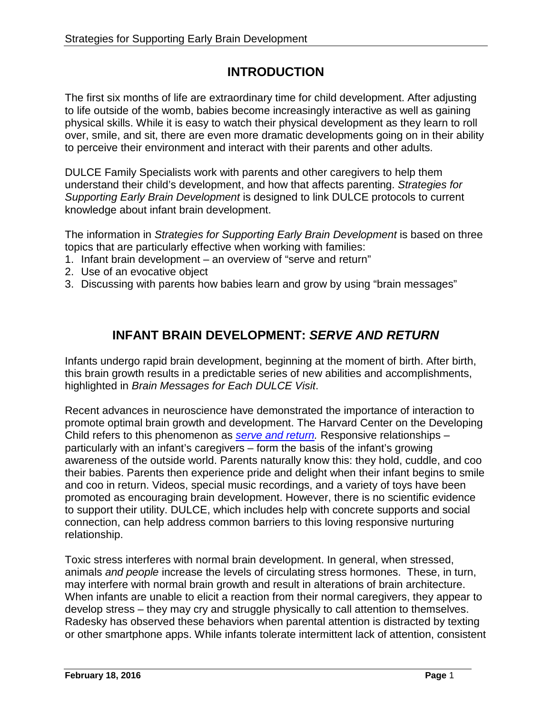# **INTRODUCTION**

The first six months of life are extraordinary time for child development. After adjusting to life outside of the womb, babies become increasingly interactive as well as gaining physical skills. While it is easy to watch their physical development as they learn to roll over, smile, and sit, there are even more dramatic developments going on in their ability to perceive their environment and interact with their parents and other adults.

DULCE Family Specialists work with parents and other caregivers to help them understand their child's development, and how that affects parenting. *Strategies for Supporting Early Brain Development* is designed to link DULCE protocols to current knowledge about infant brain development.

The information in *Strategies for Supporting Early Brain Development* is based on three topics that are particularly effective when working with families:

- 1. Infant brain development an overview of "serve and return"
- 2. Use of an evocative object
- 3. Discussing with parents how babies learn and grow by using "brain messages"

# **INFANT BRAIN DEVELOPMENT:** *SERVE AND RETURN*

Infants undergo rapid brain development, beginning at the moment of birth. After birth, this brain growth results in a predictable series of new abilities and accomplishments, highlighted in *Brain Messages for Each DULCE Visit*.

Recent advances in neuroscience have demonstrated the importance of interaction to promote optimal brain growth and development. The Harvard Center on the Developing Child refers to this phenomenon as *serve and return*. Responsive relationships – particularly with an infant's caregivers – form the basis of the infant's growing awareness of the outside world. Parents naturally know this: they hold, cuddle, and coo their babies. Parents then experience pride and delight when their infant begins to smile and coo in return. Videos, special music recordings, and a variety of toys have been promoted as encouraging brain development. However, there is no scientific evidence to support their utility. DULCE, which includes help with concrete supports and social connection, can help address common barriers to this loving responsive nurturing relationship.

Toxic stress interferes with normal brain development. In general, when stressed, animals *and people* increase the levels of circulating stress hormones. These, in turn, may interfere with normal brain growth and result in alterations of brain architecture. When infants are unable to elicit a reaction from their normal caregivers, they appear to develop stress – they may cry and struggle physically to call attention to themselves. Radesky has observed these behaviors when parental attention is distracted by texting or other smartphone apps. While infants tolerate intermittent lack of attention, consistent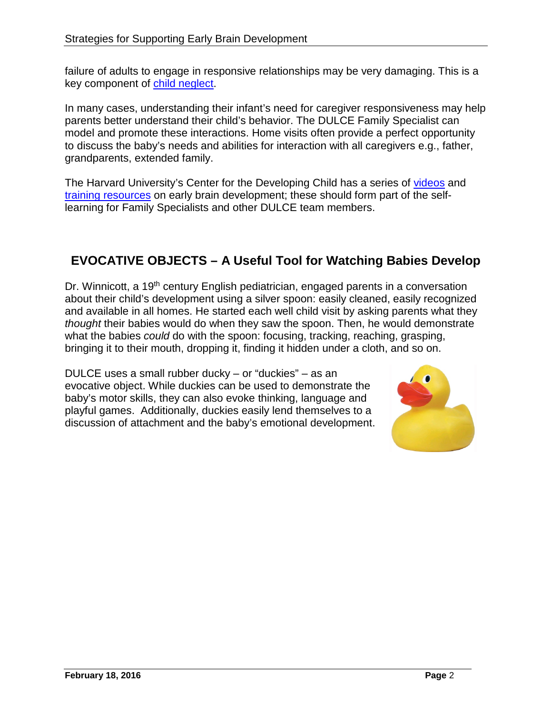failure of adults to engage in responsive relationships may be very damaging. This is a key component of [child neglect.](http://developingchild.harvard.edu/science/deep-dives/neglect/)

In many cases, understanding their infant's need for caregiver responsiveness may help parents better understand their child's behavior. The DULCE Family Specialist can model and promote these interactions. Home visits often provide a perfect opportunity to discuss the baby's needs and abilities for interaction with all caregivers e.g., father, grandparents, extended family.

The Harvard University's Center for the Developing Child has a series of [videos](http://developingchild.harvard.edu/science/key-concepts/serve-and-return/) and [training resources](http://developingchild.harvard.edu/resourcecategory/tools-guides/) on early brain development; these should form part of the selflearning for Family Specialists and other DULCE team members.

# **EVOCATIVE OBJECTS – A Useful Tool for Watching Babies Develop**

Dr. Winnicott, a 19<sup>th</sup> century English pediatrician, engaged parents in a conversation about their child's development using a silver spoon: easily cleaned, easily recognized and available in all homes. He started each well child visit by asking parents what they *thought* their babies would do when they saw the spoon. Then, he would demonstrate what the babies *could* do with the spoon: focusing, tracking, reaching, grasping, bringing it to their mouth, dropping it, finding it hidden under a cloth, and so on.

DULCE uses a small rubber ducky – or "duckies" – as an evocative object. While duckies can be used to demonstrate the baby's motor skills, they can also evoke thinking, language and playful games. Additionally, duckies easily lend themselves to a discussion of attachment and the baby's emotional development.

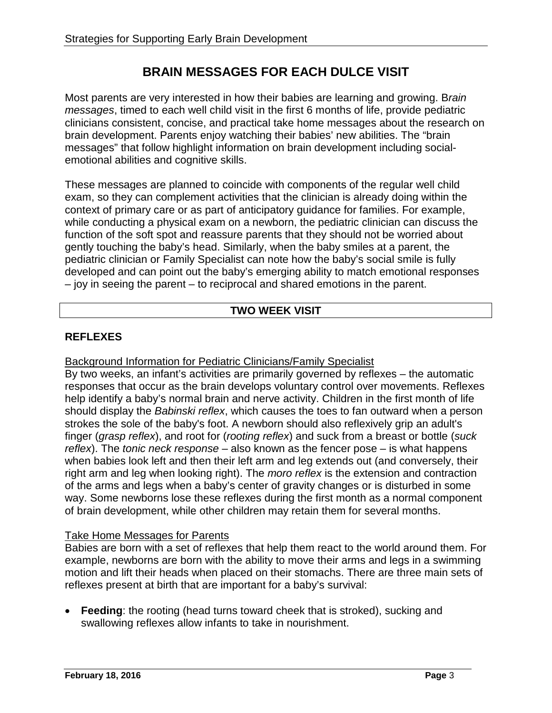# **BRAIN MESSAGES FOR EACH DULCE VISIT**

Most parents are very interested in how their babies are learning and growing. B*rain messages*, timed to each well child visit in the first 6 months of life, provide pediatric clinicians consistent, concise, and practical take home messages about the research on brain development. Parents enjoy watching their babies' new abilities. The "brain messages" that follow highlight information on brain development including socialemotional abilities and cognitive skills.

These messages are planned to coincide with components of the regular well child exam, so they can complement activities that the clinician is already doing within the context of primary care or as part of anticipatory guidance for families. For example, while conducting a physical exam on a newborn, the pediatric clinician can discuss the function of the soft spot and reassure parents that they should not be worried about gently touching the baby's head. Similarly, when the baby smiles at a parent, the pediatric clinician or Family Specialist can note how the baby's social smile is fully developed and can point out the baby's emerging ability to match emotional responses – joy in seeing the parent – to reciprocal and shared emotions in the parent.

# **TWO WEEK VISIT**

## **REFLEXES**

#### Background Information for Pediatric Clinicians/Family Specialist

By two weeks, an infant's activities are primarily governed by reflexes – the automatic responses that occur as the brain develops voluntary control over movements. Reflexes help identify a baby's normal brain and nerve activity. Children in the first month of life should display the *Babinski reflex*, which causes the toes to fan outward when a person strokes the sole of the baby's foot. A newborn should also reflexively grip an adult's finger (*grasp reflex*), and root for (*rooting reflex*) and suck from a breast or bottle (*suck reflex*). The *tonic neck response* – also known as the fencer pose – is what happens when babies look left and then their left arm and leg extends out (and conversely, their right arm and leg when looking right). The *moro reflex* is the extension and contraction of the arms and legs when a baby's center of gravity changes or is disturbed in some way. Some newborns lose these reflexes during the first month as a normal component of brain development, while other children may retain them for several months.

#### Take Home Messages for Parents

Babies are born with a set of reflexes that help them react to the world around them. For example, newborns are born with the ability to move their arms and legs in a swimming motion and lift their heads when placed on their stomachs. There are three main sets of reflexes present at birth that are important for a baby's survival:

• **Feeding**: the rooting (head turns toward cheek that is stroked), sucking and swallowing reflexes allow infants to take in nourishment.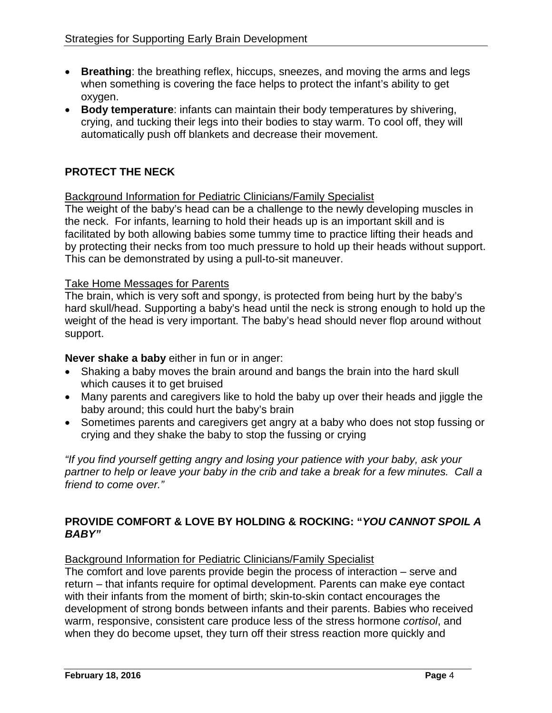- **Breathing**: the breathing reflex, hiccups, sneezes, and moving the arms and legs when something is covering the face helps to protect the infant's ability to get oxygen.
- **Body temperature**: infants can maintain their body temperatures by shivering, crying, and tucking their legs into their bodies to stay warm. To cool off, they will automatically push off blankets and decrease their movement.

# **PROTECT THE NECK**

## Background Information for Pediatric Clinicians/Family Specialist

The weight of the baby's head can be a challenge to the newly developing muscles in the neck. For infants, learning to hold their heads up is an important skill and is facilitated by both allowing babies some tummy time to practice lifting their heads and by protecting their necks from too much pressure to hold up their heads without support. This can be demonstrated by using a pull-to-sit maneuver.

## Take Home Messages for Parents

The brain, which is very soft and spongy, is protected from being hurt by the baby's hard skull/head. Supporting a baby's head until the neck is strong enough to hold up the weight of the head is very important. The baby's head should never flop around without support.

#### **Never shake a baby** either in fun or in anger:

- Shaking a baby moves the brain around and bangs the brain into the hard skull which causes it to get bruised
- Many parents and caregivers like to hold the baby up over their heads and jiggle the baby around; this could hurt the baby's brain
- Sometimes parents and caregivers get angry at a baby who does not stop fussing or crying and they shake the baby to stop the fussing or crying

*"If you find yourself getting angry and losing your patience with your baby, ask your partner to help or leave your baby in the crib and take a break for a few minutes. Call a friend to come over."*

# **PROVIDE COMFORT & LOVE BY HOLDING & ROCKING: "***YOU CANNOT SPOIL A BABY"*

#### Background Information for Pediatric Clinicians/Family Specialist

The comfort and love parents provide begin the process of interaction – serve and return – that infants require for optimal development. Parents can make eye contact with their infants from the moment of birth; skin-to-skin contact encourages the development of strong bonds between infants and their parents. Babies who received warm, responsive, consistent care produce less of the stress hormone *cortisol*, and when they do become upset, they turn off their stress reaction more quickly and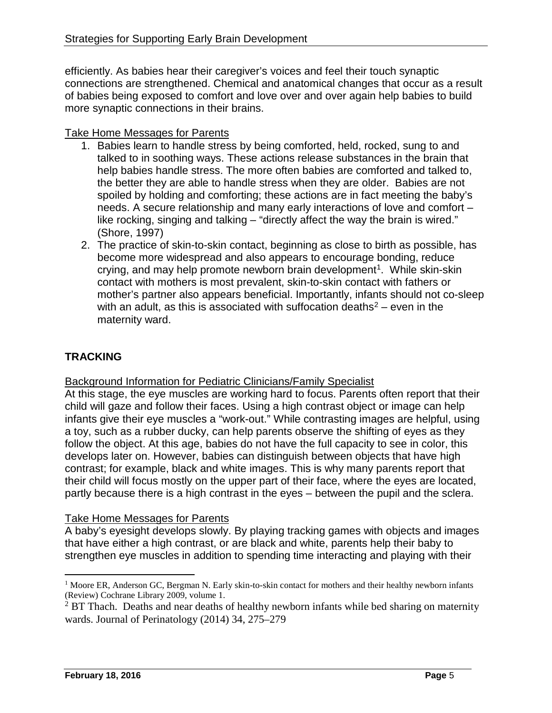efficiently. As babies hear their caregiver's voices and feel their touch synaptic connections are strengthened. Chemical and anatomical changes that occur as a result of babies being exposed to comfort and love over and over again help babies to build more synaptic connections in their brains.

# Take Home Messages for Parents

- 1. Babies learn to handle stress by being comforted, held, rocked, sung to and talked to in soothing ways. These actions release substances in the brain that help babies handle stress. The more often babies are comforted and talked to, the better they are able to handle stress when they are older. Babies are not spoiled by holding and comforting; these actions are in fact meeting the baby's needs. A secure relationship and many early interactions of love and comfort – like rocking, singing and talking – "directly affect the way the brain is wired." (Shore, 1997)
- 2. The practice of skin-to-skin contact, beginning as close to birth as possible, has become more widespread and also appears to encourage bonding, reduce crying, and may help promote newborn brain development<sup>1</sup>. While skin-skin contact with mothers is most prevalent, skin-to-skin contact with fathers or mother's partner also appears beneficial. Importantly, infants should not co-sleep with an adult, as this is associated with suffocation deaths<sup>[2](#page-5-1)</sup> – even in the maternity ward.

# **TRACKING**

Background Information for Pediatric Clinicians/Family Specialist

At this stage, the eye muscles are working hard to focus. Parents often report that their child will gaze and follow their faces. Using a high contrast object or image can help infants give their eye muscles a "work-out." While contrasting images are helpful, using a toy, such as a rubber ducky, can help parents observe the shifting of eyes as they follow the object. At this age, babies do not have the full capacity to see in color, this develops later on. However, babies can distinguish between objects that have high contrast; for example, black and white images. This is why many parents report that their child will focus mostly on the upper part of their face, where the eyes are located, partly because there is a high contrast in the eyes – between the pupil and the sclera.

# Take Home Messages for Parents

A baby's eyesight develops slowly. By playing tracking games with objects and images that have either a high contrast, or are black and white, parents help their baby to strengthen eye muscles in addition to spending time interacting and playing with their

<span id="page-5-0"></span><sup>&</sup>lt;sup>1</sup> Moore ER, Anderson GC, Bergman N. Early skin-to-skin contact for mothers and their healthy newborn infants (Review) Cochrane Library 2009, volume 1.

<span id="page-5-1"></span><sup>&</sup>lt;sup>2</sup> BT Thach. Deaths and near deaths of healthy newborn infants while bed sharing on maternity wards. Journal of Perinatology (2014) 34, 275–279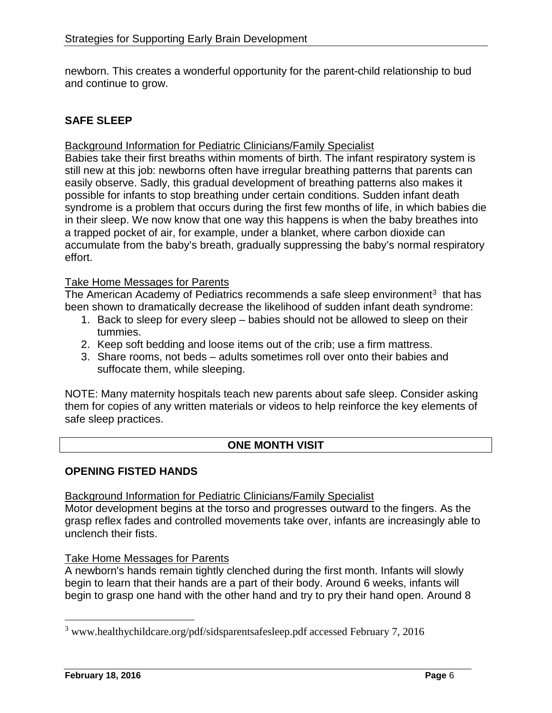newborn. This creates a wonderful opportunity for the parent-child relationship to bud and continue to grow.

# **SAFE SLEEP**

Background Information for Pediatric Clinicians/Family Specialist

Babies take their first breaths within moments of birth. The infant respiratory system is still new at this job: newborns often have irregular breathing patterns that parents can easily observe. Sadly, this gradual development of breathing patterns also makes it possible for infants to stop breathing under certain conditions. Sudden infant death syndrome is a problem that occurs during the first few months of life, in which babies die in their sleep. We now know that one way this happens is when the baby breathes into a trapped pocket of air, for example, under a blanket, where carbon dioxide can accumulate from the baby's breath, gradually suppressing the baby's normal respiratory effort.

#### Take Home Messages for Parents

The American Academy of Pediatrics recommends a safe sleep environment $3$  that has been shown to dramatically decrease the likelihood of sudden infant death syndrome:

- 1. Back to sleep for every sleep babies should not be allowed to sleep on their tummies.
- 2. Keep soft bedding and loose items out of the crib; use a firm mattress.
- 3. Share rooms, not beds adults sometimes roll over onto their babies and suffocate them, while sleeping.

NOTE: Many maternity hospitals teach new parents about safe sleep. Consider asking them for copies of any written materials or videos to help reinforce the key elements of safe sleep practices.

#### **ONE MONTH VISIT**

#### **OPENING FISTED HANDS**

**Background Information for Pediatric Clinicians/Family Specialist** 

Motor development begins at the torso and progresses outward to the fingers. As the grasp reflex fades and controlled movements take over, infants are increasingly able to unclench their fists.

#### Take Home Messages for Parents

A newborn's hands remain tightly clenched during the first month. Infants will slowly begin to learn that their hands are a part of their body. Around 6 weeks, infants will begin to grasp one hand with the other hand and try to pry their hand open. Around 8

<span id="page-6-0"></span> <sup>3</sup> www.healthychildcare.org/pdf/sidsparentsafesleep.pdf accessed February 7, 2016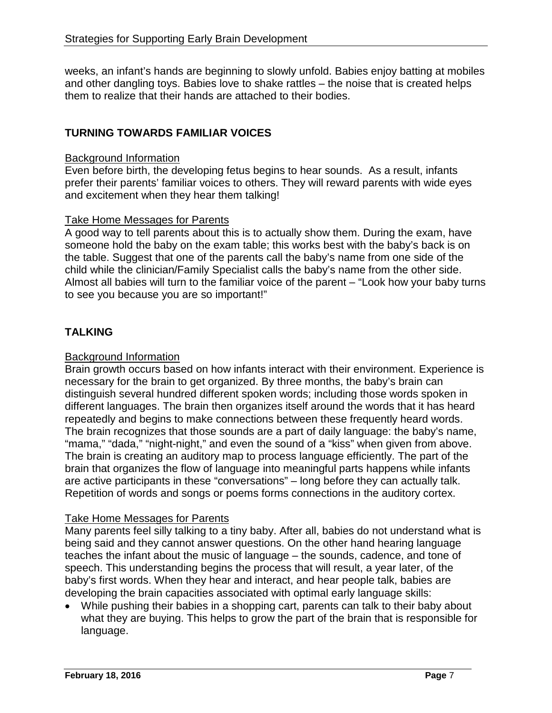weeks, an infant's hands are beginning to slowly unfold. Babies enjoy batting at mobiles and other dangling toys. Babies love to shake rattles – the noise that is created helps them to realize that their hands are attached to their bodies.

# **TURNING TOWARDS FAMILIAR VOICES**

#### Background Information

Even before birth, the developing fetus begins to hear sounds. As a result, infants prefer their parents' familiar voices to others. They will reward parents with wide eyes and excitement when they hear them talking!

#### Take Home Messages for Parents

A good way to tell parents about this is to actually show them. During the exam, have someone hold the baby on the exam table; this works best with the baby's back is on the table. Suggest that one of the parents call the baby's name from one side of the child while the clinician/Family Specialist calls the baby's name from the other side. Almost all babies will turn to the familiar voice of the parent – "Look how your baby turns to see you because you are so important!"

## **TALKING**

#### Background Information

Brain growth occurs based on how infants interact with their environment. Experience is necessary for the brain to get organized. By three months, the baby's brain can distinguish several hundred different spoken words; including those words spoken in different languages. The brain then organizes itself around the words that it has heard repeatedly and begins to make connections between these frequently heard words. The brain recognizes that those sounds are a part of daily language: the baby's name, "mama," "dada," "night-night," and even the sound of a "kiss" when given from above. The brain is creating an auditory map to process language efficiently. The part of the brain that organizes the flow of language into meaningful parts happens while infants are active participants in these "conversations" – long before they can actually talk. Repetition of words and songs or poems forms connections in the auditory cortex.

#### Take Home Messages for Parents

Many parents feel silly talking to a tiny baby. After all, babies do not understand what is being said and they cannot answer questions. On the other hand hearing language teaches the infant about the music of language – the sounds, cadence, and tone of speech. This understanding begins the process that will result, a year later, of the baby's first words. When they hear and interact, and hear people talk, babies are developing the brain capacities associated with optimal early language skills:

• While pushing their babies in a shopping cart, parents can talk to their baby about what they are buying. This helps to grow the part of the brain that is responsible for language.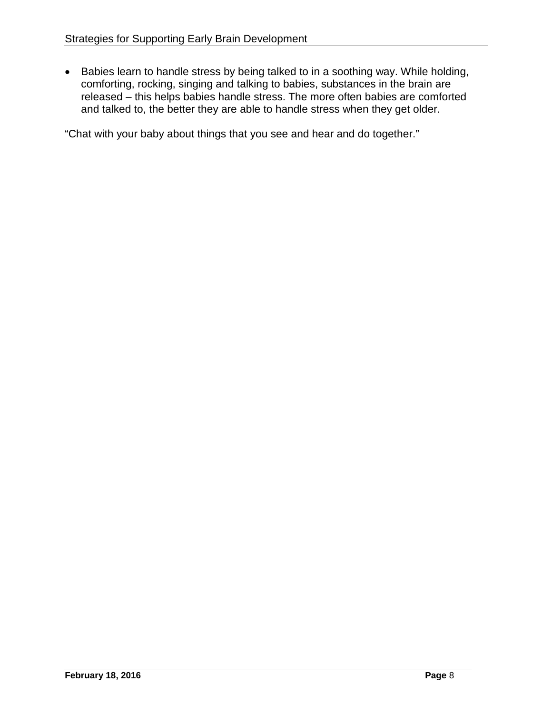• Babies learn to handle stress by being talked to in a soothing way. While holding, comforting, rocking, singing and talking to babies, substances in the brain are released – this helps babies handle stress. The more often babies are comforted and talked to, the better they are able to handle stress when they get older.

"Chat with your baby about things that you see and hear and do together."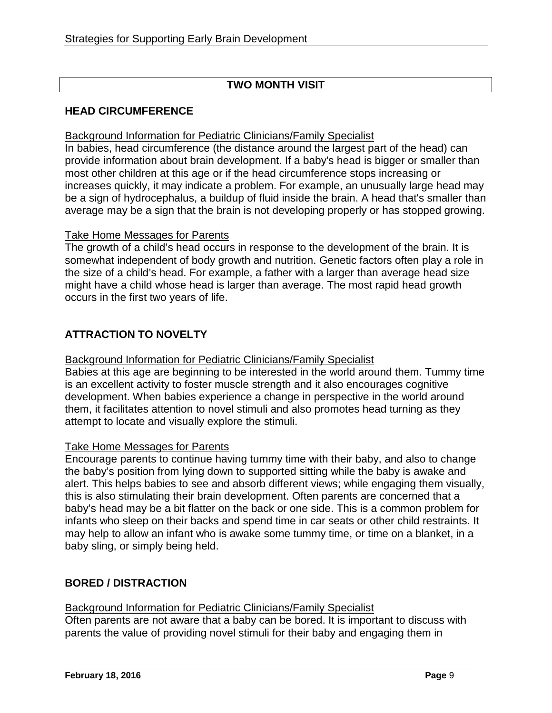# **TWO MONTH VISIT**

# **HEAD CIRCUMFERENCE**

#### Background Information for Pediatric Clinicians/Family Specialist

In babies, head circumference (the distance around the largest part of the head) can provide information about brain development. If a baby's head is bigger or smaller than most other children at this age or if the head circumference stops increasing or increases quickly, it may indicate a problem. For example, an unusually large head may be a sign of hydrocephalus, a buildup of fluid inside the brain. A head that's smaller than average may be a sign that the brain is not developing properly or has stopped growing.

#### Take Home Messages for Parents

The growth of a child's head occurs in response to the development of the brain. It is somewhat independent of body growth and nutrition. Genetic factors often play a role in the size of a child's head. For example, a father with a larger than average head size might have a child whose head is larger than average. The most rapid head growth occurs in the first two years of life.

# **ATTRACTION TO NOVELTY**

#### Background Information for Pediatric Clinicians/Family Specialist

Babies at this age are beginning to be interested in the world around them. Tummy time is an excellent activity to foster muscle strength and it also encourages cognitive development. When babies experience a change in perspective in the world around them, it facilitates attention to novel stimuli and also promotes head turning as they attempt to locate and visually explore the stimuli.

#### Take Home Messages for Parents

Encourage parents to continue having tummy time with their baby, and also to change the baby's position from lying down to supported sitting while the baby is awake and alert. This helps babies to see and absorb different views; while engaging them visually, this is also stimulating their brain development. Often parents are concerned that a baby's head may be a bit flatter on the back or one side. This is a common problem for infants who sleep on their backs and spend time in car seats or other child restraints. It may help to allow an infant who is awake some tummy time, or time on a blanket, in a baby sling, or simply being held.

# **BORED / DISTRACTION**

Background Information for Pediatric Clinicians/Family Specialist Often parents are not aware that a baby can be bored. It is important to discuss with parents the value of providing novel stimuli for their baby and engaging them in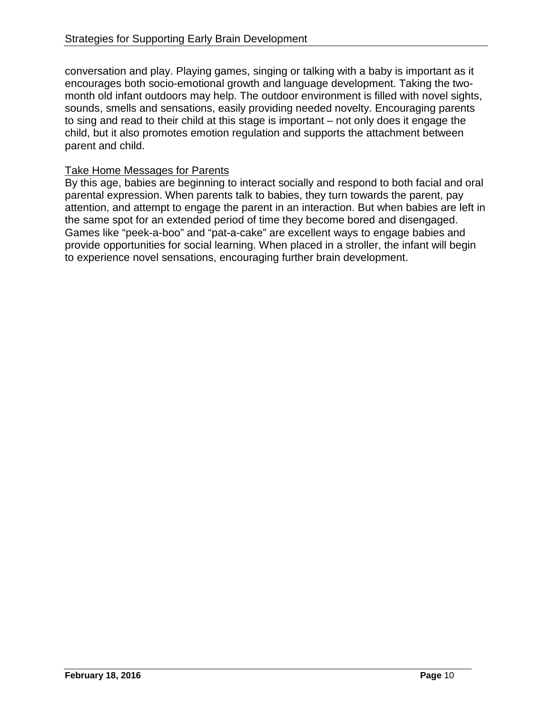conversation and play. Playing games, singing or talking with a baby is important as it encourages both socio-emotional growth and language development. Taking the twomonth old infant outdoors may help. The outdoor environment is filled with novel sights, sounds, smells and sensations, easily providing needed novelty. Encouraging parents to sing and read to their child at this stage is important – not only does it engage the child, but it also promotes emotion regulation and supports the attachment between parent and child.

#### Take Home Messages for Parents

By this age, babies are beginning to interact socially and respond to both facial and oral parental expression. When parents talk to babies, they turn towards the parent, pay attention, and attempt to engage the parent in an interaction. But when babies are left in the same spot for an extended period of time they become bored and disengaged. Games like "peek-a-boo" and "pat-a-cake" are excellent ways to engage babies and provide opportunities for social learning. When placed in a stroller, the infant will begin to experience novel sensations, encouraging further brain development.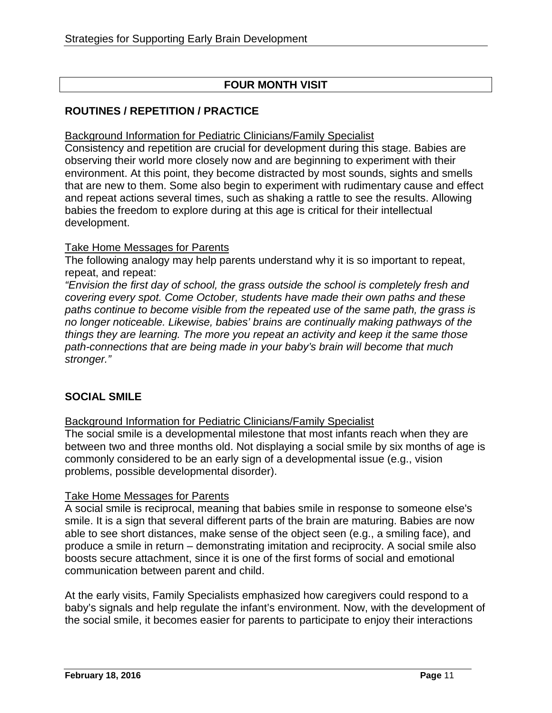# **FOUR MONTH VISIT**

# **ROUTINES / REPETITION / PRACTICE**

Background Information for Pediatric Clinicians/Family Specialist

Consistency and repetition are crucial for development during this stage. Babies are observing their world more closely now and are beginning to experiment with their environment. At this point, they become distracted by most sounds, sights and smells that are new to them. Some also begin to experiment with rudimentary cause and effect and repeat actions several times, such as shaking a rattle to see the results. Allowing babies the freedom to explore during at this age is critical for their intellectual development.

## Take Home Messages for Parents

The following analogy may help parents understand why it is so important to repeat, repeat, and repeat:

*"Envision the first day of school, the grass outside the school is completely fresh and covering every spot. Come October, students have made their own paths and these paths continue to become visible from the repeated use of the same path, the grass is no longer noticeable. Likewise, babies' brains are continually making pathways of the things they are learning. The more you repeat an activity and keep it the same those path-connections that are being made in your baby's brain will become that much stronger."*

# **SOCIAL SMILE**

Background Information for Pediatric Clinicians/Family Specialist

The social smile is a developmental milestone that most infants reach when they are between two and three months old. Not displaying a social smile by six months of age is commonly considered to be an early sign of a developmental issue (e.g., vision problems, possible developmental disorder).

#### Take Home Messages for Parents

A social smile is reciprocal, meaning that babies smile in response to someone else's smile. It is a sign that several different parts of the brain are maturing. Babies are now able to see short distances, make sense of the object seen (e.g., a smiling face), and produce a smile in return – demonstrating imitation and reciprocity. A social smile also boosts secure attachment, since it is one of the first forms of social and emotional communication between parent and child.

At the early visits, Family Specialists emphasized how caregivers could respond to a baby's signals and help regulate the infant's environment. Now, with the development of the social smile, it becomes easier for parents to participate to enjoy their interactions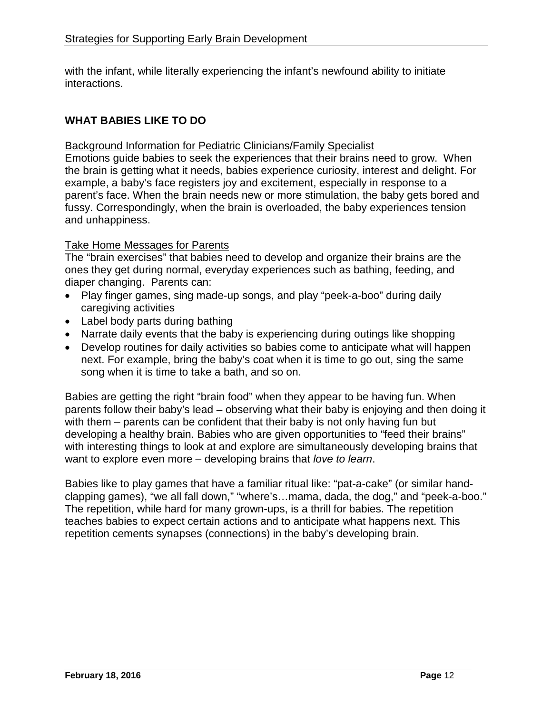with the infant, while literally experiencing the infant's newfound ability to initiate interactions.

# **WHAT BABIES LIKE TO DO**

#### Background Information for Pediatric Clinicians/Family Specialist

Emotions guide babies to seek the experiences that their brains need to grow. When the brain is getting what it needs, babies experience curiosity, interest and delight. For example, a baby's face registers joy and excitement, especially in response to a parent's face. When the brain needs new or more stimulation, the baby gets bored and fussy. Correspondingly, when the brain is overloaded, the baby experiences tension and unhappiness.

#### Take Home Messages for Parents

The "brain exercises" that babies need to develop and organize their brains are the ones they get during normal, everyday experiences such as bathing, feeding, and diaper changing. Parents can:

- Play finger games, sing made-up songs, and play "peek-a-boo" during daily caregiving activities
- Label body parts during bathing
- Narrate daily events that the baby is experiencing during outings like shopping
- Develop routines for daily activities so babies come to anticipate what will happen next. For example, bring the baby's coat when it is time to go out, sing the same song when it is time to take a bath, and so on.

Babies are getting the right "brain food" when they appear to be having fun. When parents follow their baby's lead – observing what their baby is enjoying and then doing it with them – parents can be confident that their baby is not only having fun but developing a healthy brain. Babies who are given opportunities to "feed their brains" with interesting things to look at and explore are simultaneously developing brains that want to explore even more – developing brains that *love to learn*.

Babies like to play games that have a familiar ritual like: "pat-a-cake" (or similar handclapping games), "we all fall down," "where's…mama, dada, the dog," and "peek-a-boo." The repetition, while hard for many grown-ups, is a thrill for babies. The repetition teaches babies to expect certain actions and to anticipate what happens next. This repetition cements synapses (connections) in the baby's developing brain.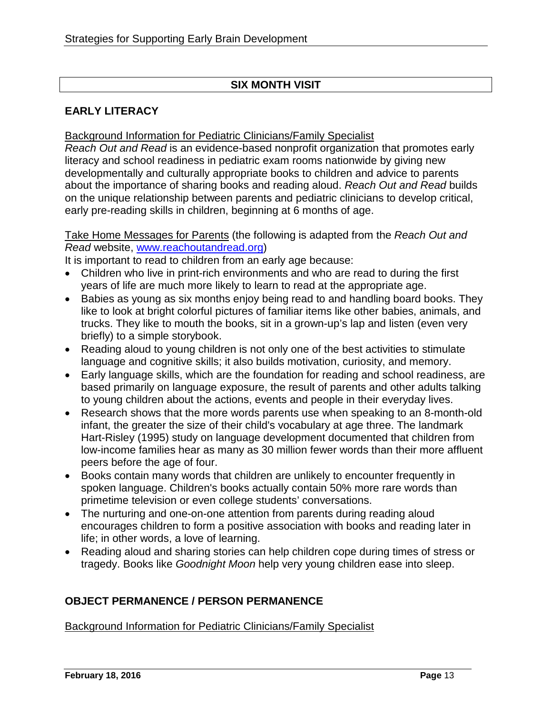# **SIX MONTH VISIT**

# **EARLY LITERACY**

#### Background Information for Pediatric Clinicians/Family Specialist

*Reach Out and Read* is an evidence-based nonprofit organization that promotes early literacy and school readiness in pediatric exam rooms nationwide by giving new developmentally and culturally appropriate books to children and advice to parents about the importance of sharing books and reading aloud. *Reach Out and Read* builds on the unique relationship between parents and pediatric clinicians to develop critical, early pre-reading skills in children, beginning at 6 months of age.

Take Home Messages for Parents (the following is adapted from the *Reach Out and Read* website, [www.reachoutandread.org\)](http://www.reachoutandread.org/)

It is important to read to children from an early age because:

- Children who live in print-rich environments and who are read to during the first years of life are much more likely to learn to read at the appropriate age.
- Babies as young as six months enjoy being read to and handling board books. They like to look at bright colorful pictures of familiar items like other babies, animals, and trucks. They like to mouth the books, sit in a grown-up's lap and listen (even very briefly) to a simple storybook.
- Reading aloud to young children is not only one of the best activities to stimulate language and cognitive skills; it also builds motivation, curiosity, and memory.
- Early language skills, which are the foundation for reading and school readiness, are based primarily on language exposure, the result of parents and other adults talking to young children about the actions, events and people in their everyday lives.
- Research shows that the more words parents use when speaking to an 8-month-old infant, the greater the size of their child's vocabulary at age three. The landmark Hart-Risley (1995) study on language development documented that children from low-income families hear as many as 30 million fewer words than their more affluent peers before the age of four.
- Books contain many words that children are unlikely to encounter frequently in spoken language. Children's books actually contain 50% more rare words than primetime television or even college students' conversations.
- The nurturing and one-on-one attention from parents during reading aloud encourages children to form a positive association with books and reading later in life; in other words, a love of learning.
- Reading aloud and sharing stories can help children cope during times of stress or tragedy. Books like *Goodnight Moon* help very young children ease into sleep.

# **OBJECT PERMANENCE / PERSON PERMANENCE**

Background Information for Pediatric Clinicians/Family Specialist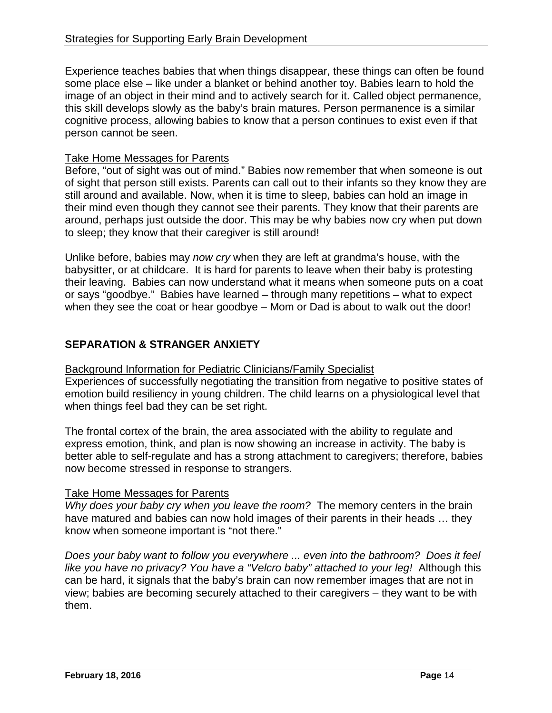Experience teaches babies that when things disappear, these things can often be found some place else – like under a blanket or behind another toy. Babies learn to hold the image of an object in their mind and to actively search for it. Called object permanence, this skill develops slowly as the baby's brain matures. Person permanence is a similar cognitive process, allowing babies to know that a person continues to exist even if that person cannot be seen.

#### Take Home Messages for Parents

Before, "out of sight was out of mind." Babies now remember that when someone is out of sight that person still exists. Parents can call out to their infants so they know they are still around and available. Now, when it is time to sleep, babies can hold an image in their mind even though they cannot see their parents. They know that their parents are around, perhaps just outside the door. This may be why babies now cry when put down to sleep; they know that their caregiver is still around!

Unlike before, babies may *now cry* when they are left at grandma's house, with the babysitter, or at childcare. It is hard for parents to leave when their baby is protesting their leaving. Babies can now understand what it means when someone puts on a coat or says "goodbye." Babies have learned – through many repetitions – what to expect when they see the coat or hear goodbye – Mom or Dad is about to walk out the door!

# **SEPARATION & STRANGER ANXIETY**

Background Information for Pediatric Clinicians/Family Specialist

Experiences of successfully negotiating the transition from negative to positive states of emotion build resiliency in young children. The child learns on a physiological level that when things feel bad they can be set right.

The frontal cortex of the brain, the area associated with the ability to regulate and express emotion, think, and plan is now showing an increase in activity. The baby is better able to self-regulate and has a strong attachment to caregivers; therefore, babies now become stressed in response to strangers.

#### Take Home Messages for Parents

*Why does your baby cry when you leave the room?* The memory centers in the brain have matured and babies can now hold images of their parents in their heads … they know when someone important is "not there."

*Does your baby want to follow you everywhere ... even into the bathroom? Does it feel like you have no privacy? You have a "Velcro baby" attached to your leg!* Although this can be hard, it signals that the baby's brain can now remember images that are not in view; babies are becoming securely attached to their caregivers – they want to be with them.